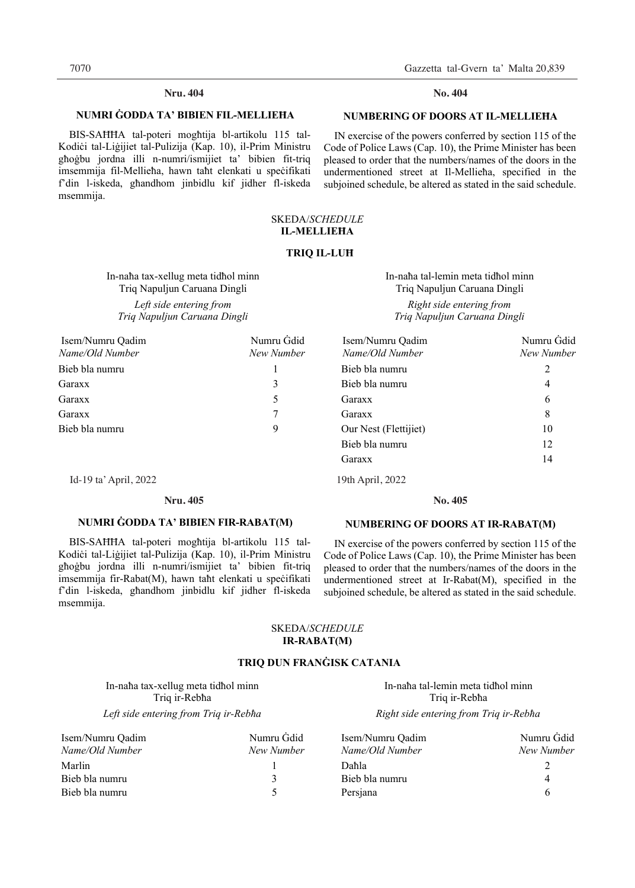# **Nru. Nru. 404 No. 404**

# **NUMRI ĠODDA TA' BIBIEN FIL-MELLIEĦA**

 BIS-SAĦĦA tal-poteri mogħtija bl-artikolu 115 tal-Kodiċi tal-Liġijiet tal-Pulizija (Kap. 10), il-Prim Ministru għoġbu jordna illi n-numri/ismijiet ta' bibien fit-triq imsemmija fil-Mellieħa, hawn taħt elenkati u speċifikati f'din l-iskeda, għandhom jinbidlu kif jidher fl-iskeda msemmija.

 IN exercise of the powers conferred by section 115 of the Code of Police Laws (Cap. 10), the Prime Minister has been pleased to order that the numbers/names of the doors in the undermentioned street at Il-Mellieħa, specified in the subjoined schedule, be altered as stated in the said schedule.

# SKEDA/*SCHEDULE*  **IL-MELLIEĦA**

### **TRIQ IL-LUĦ**

In-naħa tax-xellug meta tidħol minn Triq Napuljun Caruana Dingli *Left side entering from Triq Napuljun Caruana Dingli* 

| In-naha tal-lemin meta tidhol minn |
|------------------------------------|
| Triq Napuljun Caruana Dingli       |
| Right side entering from           |
| Triq Napuljun Caruana Dingli       |

| Isem/Numru Qadim<br>Name/Old Number | Numru Ġdid<br>New Number | Isem/Numru Qadim<br>Name/Old Number | Numru Gdid<br>New Number |
|-------------------------------------|--------------------------|-------------------------------------|--------------------------|
| Bieb bla numru                      |                          | Bieb bla numru                      | 2                        |
| Garaxx                              |                          | Bieb bla numru                      | 4                        |
| Garaxx                              |                          | Garaxx                              | 6                        |
| Garaxx                              |                          | Garaxx                              | 8                        |
| Bieb bla numru                      | 9                        | Our Nest (Flettijiet)               | 10                       |
|                                     |                          | Bieb bla numru                      | 12                       |
|                                     |                          | Garaxx                              | 14                       |

Id-19 ta' April, 2022 19th April, 2022 Id-19 ta' April, 2022 19th April, 2022

# **NUMRI ĠODDA TA' BIBIEN FIR-RABAT(M)**

 BIS-SAĦĦA tal-poteri mogħtija bl-artikolu 115 tal-Kodiċi tal-Liġijiet tal-Pulizija (Kap. 10), il-Prim Ministru għoġbu jordna illi n-numri/ismijiet ta' bibien fit-triq imsemmija fir-Rabat(M), hawn taht elenkati u specifikati f'din l-iskeda, għandhom jinbidlu kif jidher fl-iskeda msemmija.

# **NUMBERING OF DOORS AT IR-RABAT(M)**

**No.** 

 IN exercise of the powers conferred by section 115 of the Code of Police Laws (Cap. 10), the Prime Minister has been pleased to order that the numbers/names of the doors in the undermentioned street at Ir-Rabat(M), specified in the subjoined schedule, be altered as stated in the said schedule.

# SKEDA/*SCHEDULE*  **IR-RABAT(M)**

# **TRIQ DUN FRANĠISK CATANIA**

In-naħa tax-xellug meta tidħol minn Triq ir-Rebħa

| Isem/Numru Oadim | Numru Gdid | Isem/Numru Oadim | Numru  |
|------------------|------------|------------------|--------|
| Name/Old Number  | New Number | Name/Old Number  | New Nu |
| Marlin           |            | Daħla            |        |
| Bieb bla numru   |            | Bieb bla numru   | 4      |
| Bieb bla numru   |            | Persiana         | 6      |

In-naħa tal-lemin meta tidħol minn Triq ir-Rebħa *Left side entering from Triq ir-Rebħa Right side entering from Triq ir-Rebħa* 

| Isem/Numru Oadim | Numru Gdid | Isem/Numru Oadim | Numru Gdid |
|------------------|------------|------------------|------------|
| Name/Old Number  | New Number | Name/Old Number  | New Number |
| Marlin           |            | Daħla            |            |
| Bieb bla numru   |            | Bieb bla numru   |            |
| Bieb bla numru   |            | Persiana         |            |
|                  |            |                  |            |

# No. 404

# **NUMBERING OF DOORS AT IL-MELLIEĦA**

**Nru. 405 No. 405**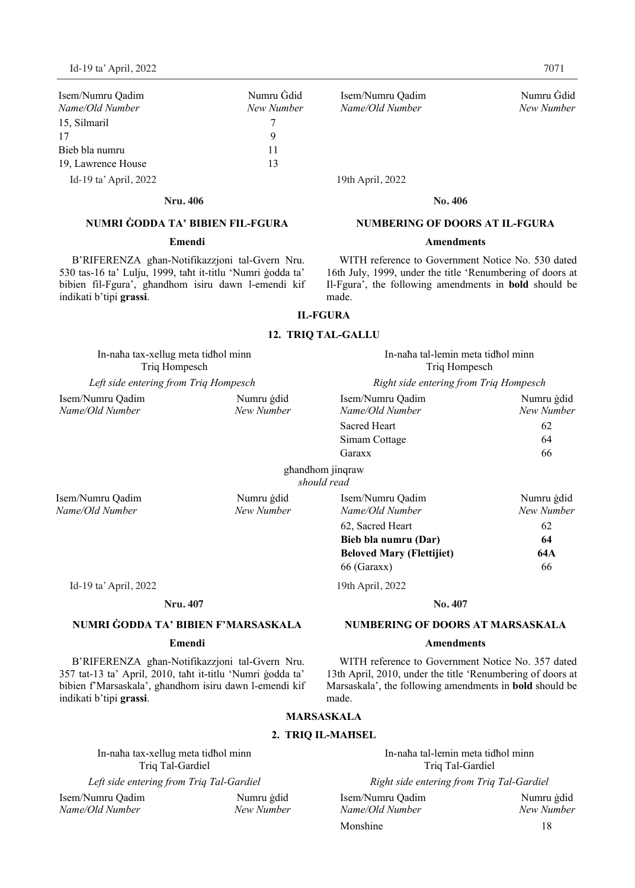| Isem/Numru Oadim<br>Name/Old Number | Numru Gdic<br>New Numbe |
|-------------------------------------|-------------------------|
| 15, Silmaril                        |                         |
| 17                                  | 9                       |
| Bieb bla numru                      | 11                      |
| 19, Lawrence House                  | 13                      |
| Id-19 ta' April, 2022               |                         |

#### **Nru. Nru. 406 No. 406**

# **NUMRI ĠODDA TA' BIBIEN FIL-FGURA**

# **Emendi**

B'RIFERENZA għan-Notifikazzjoni tal-Gvern Nru. 530 tas-16 ta' Lulju, 1999, taħt it-titlu 'Numri ġodda ta' bibien fil-Fgura', għandhom isiru dawn l-emendi kif indikati b'tipi **grassi**.

Isem/Numru Qadim Numru Ġdid Isem/Numru Qadim Numru Ġdid  $Name/Old Number$ 

19th April, 2022

**No.** 

# **NUMBERING OF DOORS AT IL-FGURA**

#### **Amendments**

WITH reference to Government Notice No. 530 dated 16th July, 1999, under the title 'Renumbering of doors at Il-Fgura', the following amendments in **bold** should be made.

# **IL-FGURA**

# **12. TRIQ TAL-GALLU**

# In-naħa tax-xellug meta tidħol minn In-naħa tal-lemin meta tidħol minn Triq Hompesch Triq Hompesch *Left side entering from Triq Hompesch Right side entering from Triq Hompesch*  Isem/Numru Qadim Numru ġdid Isem/Numru Qadim Numru ġdid *Name/Old Number New Number Name/Old Number New Number*Sacred Heart 62 Simam Cottage 64 Garaxx 66 għandhom jinqraw *should read*  Isem/Numru Qadim Numru ġdid Isem/Numru Qadim Numru ġdid *Name/Old Number New Number Name/Old Number New Number*62, Sacred Heart 62 **Bieb bla numru (Dar) 64 Beloved Mary (Flettijiet) 64A**  66 (Garaxx) 66 Id-19 ta' April, 2022 19th April, 2022 Id-19 ta' April, 2022 19th April, 2022**Nru. Nru. 407 No. 407 No.**

# **NUMRI ĠODDA TA' BIBIEN F'MARSASKALA**

# **Emendi**

B'RIFERENZA għan-Notifikazzjoni tal-Gvern Nru. 357 tat-13 ta' April, 2010, taħt it-titlu 'Numri ġodda ta' bibien f'Marsaskala', għandhom isiru dawn l-emendi kif indikati b'tipi **grassi**.

WITH reference to Government Notice No. 357 dated 13th April, 2010, under the title 'Renumbering of doors at Marsaskala', the following amendments in **bold** should be made.

# **MARSASKALA**

# **2. TRIQ IL-MAĦSEL**

In-naħa tax-xellug meta tidħol minn In-naħa tal-lemin meta tidħol minn

Isem/Numru Qadim Numru ġdid Isem/Numru Qadim Numru ġdid *Name/Old Number New Number Name/Old Number New Number*

Triq Tal-Gardiel Triq Tal-Gardiel

*Left side entering from Triq Tal-Gardiel Right side entering from Triq Tal-Gardiel*

| Isem/Numru Oadim | Numru gdid |
|------------------|------------|
| Name/Old Number  | New Number |
| Monshine         | 18         |

#### **NUMBERING OF DOORS AT MARSASKALA**

### **Amendments**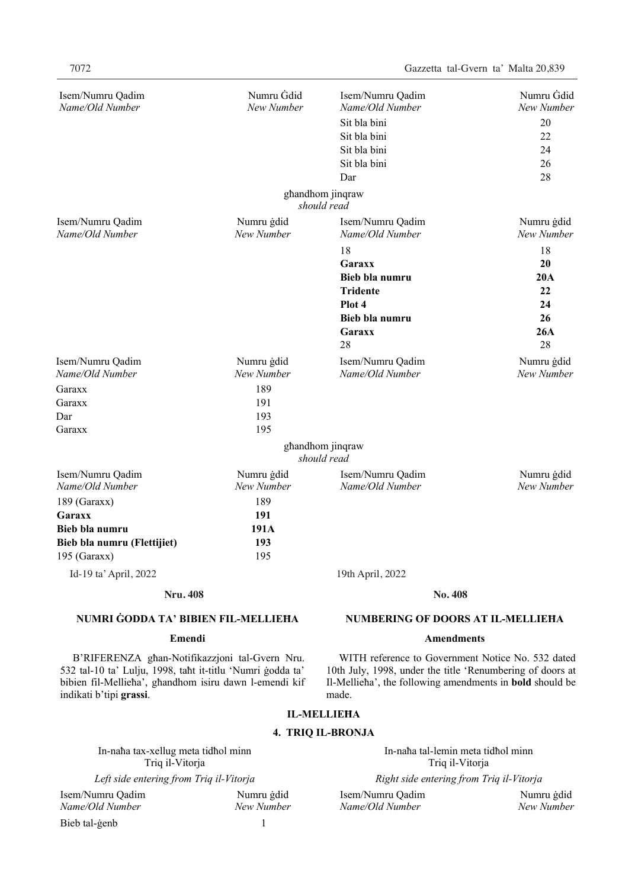| Isem/Numru Qadim<br>Name/Old Number                                                                                                                                                               | Numru Gdid<br>New Number | Isem/Numru Qadim<br>Name/Old Number<br>Sit bla bini<br>Sit bla bini<br>Sit bla bini<br>Sit bla bini                                                                                        | Numru Gdid<br>New Number<br>20<br>22<br>24<br>26 |
|---------------------------------------------------------------------------------------------------------------------------------------------------------------------------------------------------|--------------------------|--------------------------------------------------------------------------------------------------------------------------------------------------------------------------------------------|--------------------------------------------------|
|                                                                                                                                                                                                   |                          | Dar<br>ghandhom jinqraw<br>should read                                                                                                                                                     | 28                                               |
| Isem/Numru Qadim                                                                                                                                                                                  | Numru gdid               | Isem/Numru Qadim                                                                                                                                                                           | Numru gdid                                       |
| Name/Old Number                                                                                                                                                                                   | New Number               | Name/Old Number                                                                                                                                                                            | New Number                                       |
|                                                                                                                                                                                                   |                          | 18<br>Garaxx<br>Bieb bla numru<br><b>Tridente</b><br>Plot 4<br>Bieb bla numru<br>Garaxx<br>28                                                                                              | 18<br>20<br>20A<br>22<br>24<br>26<br>26A<br>28   |
| Isem/Numru Qadim                                                                                                                                                                                  | Numru ġdid               | Isem/Numru Qadim                                                                                                                                                                           | Numru gdid                                       |
| Name/Old Number                                                                                                                                                                                   | New Number               | Name/Old Number                                                                                                                                                                            | New Number                                       |
| Garaxx                                                                                                                                                                                            | 189                      |                                                                                                                                                                                            |                                                  |
| Garaxx                                                                                                                                                                                            | 191                      |                                                                                                                                                                                            |                                                  |
| Dar                                                                                                                                                                                               | 193                      |                                                                                                                                                                                            |                                                  |
| Garaxx                                                                                                                                                                                            | 195                      |                                                                                                                                                                                            |                                                  |
|                                                                                                                                                                                                   |                          | ghandhom jinqraw<br>should read                                                                                                                                                            |                                                  |
| Isem/Numru Qadim<br>Name/Old Number                                                                                                                                                               | Numru gdid<br>New Number | Isem/Numru Qadim<br>Name/Old Number                                                                                                                                                        | Numru ġdid<br>New Number                         |
| 189 (Garaxx)                                                                                                                                                                                      | 189                      |                                                                                                                                                                                            |                                                  |
| Garaxx                                                                                                                                                                                            | 191                      |                                                                                                                                                                                            |                                                  |
| Bieb bla numru                                                                                                                                                                                    | 191A                     |                                                                                                                                                                                            |                                                  |
| Bieb bla numru (Flettijiet)                                                                                                                                                                       | 193                      |                                                                                                                                                                                            |                                                  |
| 195 (Garaxx)                                                                                                                                                                                      | 195                      |                                                                                                                                                                                            |                                                  |
| Id-19 ta' April, 2022                                                                                                                                                                             |                          | 19th April, 2022                                                                                                                                                                           |                                                  |
| <b>Nru. 408</b>                                                                                                                                                                                   |                          | No. 408                                                                                                                                                                                    |                                                  |
| NUMRI GODDA TA' BIBIEN FIL-MELLIEHA                                                                                                                                                               |                          | <b>NUMBERING OF DOORS AT IL-MELLIEHA</b>                                                                                                                                                   |                                                  |
| Emendi                                                                                                                                                                                            |                          | <b>Amendments</b>                                                                                                                                                                          |                                                  |
| B'RIFERENZA ghan-Notifikazzjoni tal-Gvern Nru.<br>532 tal-10 ta' Lulju, 1998, taht it-titlu 'Numri godda ta'<br>bibien fil-Mellieha', ghandhom isiru dawn l-emendi kif<br>indikati b'tipi grassi. |                          | WITH reference to Government Notice No. 532 dated<br>10th July, 1998, under the title 'Renumbering of doors at<br>Il-Mellieha', the following amendments in <b>bold</b> should be<br>made. |                                                  |
|                                                                                                                                                                                                   |                          | <b>IL-MELLIEHA</b>                                                                                                                                                                         |                                                  |
|                                                                                                                                                                                                   |                          | <b>4. TRIQ IL-BRONJA</b>                                                                                                                                                                   |                                                  |
| In-naha tax-xellug meta tidhol minn<br>Triq il-Vitorja                                                                                                                                            |                          | In-naha tal-lemin meta tidhol minn<br>Triq il-Vitorja                                                                                                                                      |                                                  |
| Left side entering from Triq il-Vitorja                                                                                                                                                           |                          | Right side entering from Triq il-Vitorja                                                                                                                                                   |                                                  |
|                                                                                                                                                                                                   |                          |                                                                                                                                                                                            |                                                  |

Isem/Numru Qadim Numru ġdid Isem/Numru Qadim Numru ġdid Bieb tal-ġenb 1

*Name/Old Number New Number Name/Old Number New Number*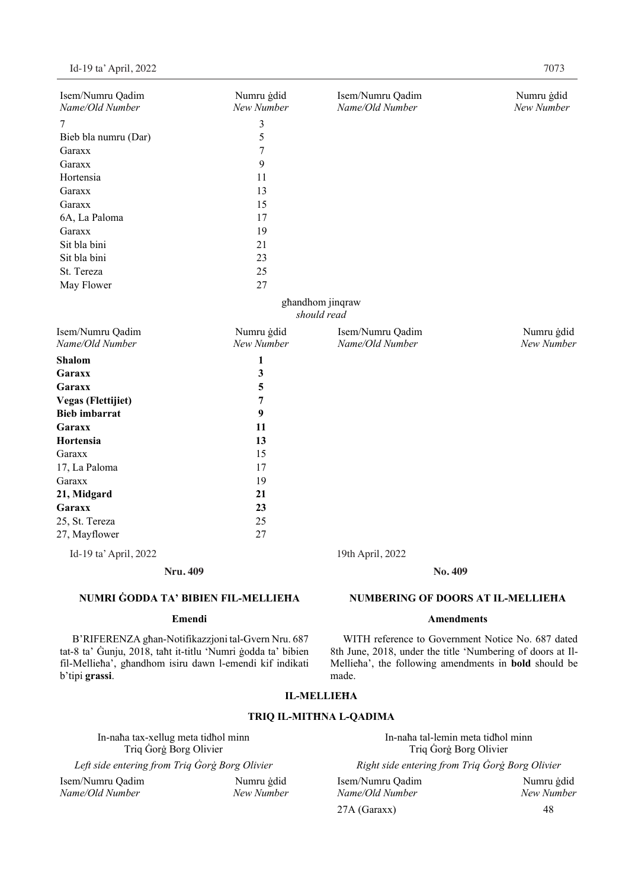| Isem/Numru Qadim<br>Name/Old Number | Numru ġdid<br>New Number | Isem/Numru Qadim<br>Name/Old Number | Numru ġdid<br>New Number |
|-------------------------------------|--------------------------|-------------------------------------|--------------------------|
| 7                                   | 3                        |                                     |                          |
| Bieb bla numru (Dar)                | 5                        |                                     |                          |
| Garaxx                              | 7                        |                                     |                          |
| Garaxx                              | 9                        |                                     |                          |
| Hortensia                           | 11                       |                                     |                          |
| Garaxx                              | 13                       |                                     |                          |
| Garaxx                              | 15                       |                                     |                          |
| 6A, La Paloma                       | 17                       |                                     |                          |
| Garaxx                              | 19                       |                                     |                          |
| Sit bla bini                        | 21                       |                                     |                          |
| Sit bla bini                        | 23                       |                                     |                          |
| St. Tereza                          | 25                       |                                     |                          |
| May Flower                          | 27                       |                                     |                          |
|                                     |                          | ghandhom jinqraw                    |                          |
|                                     |                          | should read                         |                          |
| Isem/Numru Qadim<br>Name/Old Number | Numru ġdid<br>New Number | Isem/Numru Qadim<br>Name/Old Number | Numru ġdid<br>New Number |
| <b>Shalom</b>                       | 1                        |                                     |                          |
| Garaxx                              | 3                        |                                     |                          |
| Garaxx                              | 5                        |                                     |                          |
| <b>Vegas (Flettijiet)</b>           | 7                        |                                     |                          |
| <b>Bieb</b> imbarrat                | 9                        |                                     |                          |
| <b>Garaxx</b>                       | 11                       |                                     |                          |
| Hortensia                           | 13                       |                                     |                          |
| Garaxx                              | 15                       |                                     |                          |
| 17, La Paloma                       | 17                       |                                     |                          |
| Garaxx                              | 19                       |                                     |                          |
| 21, Midgard                         | 21                       |                                     |                          |
| Garaxx                              | 23                       |                                     |                          |
| 25, St. Tereza                      | 25                       |                                     |                          |
| 27, Mayflower                       | 27                       |                                     |                          |
| Id-19 ta' April, 2022               |                          | 19th April, 2022                    |                          |
| <b>Nru. 409</b>                     |                          | No. 409                             |                          |

# **NUMRI ĠODDA TA' BIBIEN FIL-MELLIEĦA**

# **Emendi**

B'RIFERENZA għan-Notifikazzjoni tal-Gvern Nru. 687 tat-8 ta' Ġunju, 2018, taħt it-titlu 'Numri ġodda ta' bibien fil-Mellieħa', għandhom isiru dawn l-emendi kif indikati b'tipi **grassi**.

# **IL-MELLIEĦA**

made.

# **TRIQ IL-MITĦNA L-QADIMA**

In-naħa tax-xellug meta tidħol minn In-naħa tal-lemin meta tidħol minn Triq Ġorġ Borg Olivier<br>
Triq Ġorġ Borg Olivier<br> *Left side entering from Triq Ġorġ Borg Olivier*<br> *Right side entering from Triq Ġorġ l* Isem/Numru Qadim Numru ġdid Isem/Numru Qadim Numru ġdid *Name/Old Number New Number Name/Old Number New Number*

*Left side entering from Triq Ġorġ Borg Olivier Right side entering from Triq Ġorġ Borg Olivier*

**NUMBERING OF DOORS AT IL-MELLIEĦA Amendments** 

WITH reference to Government Notice No. 687 dated 8th June, 2018, under the title 'Numbering of doors at Il-Mellieħa', the following amendments in **bold** should be

27A (Garaxx) 48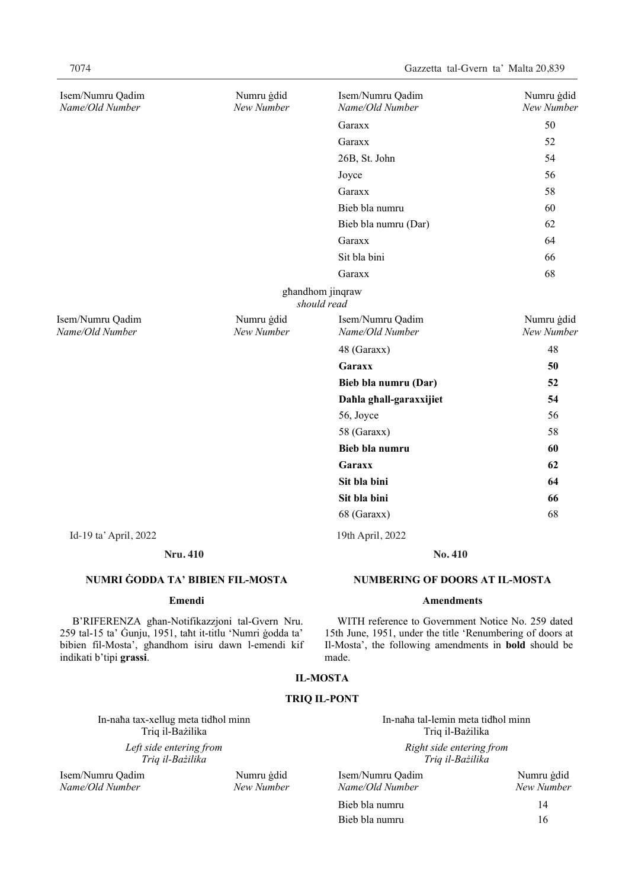| Isem/Numru Qadim<br>Name/Old Number | Numru ġdid<br>New Number | Isem/Numru Qadim<br>Name/Old Number | Numru ġdid<br>New Number |
|-------------------------------------|--------------------------|-------------------------------------|--------------------------|
|                                     |                          | Garaxx                              | 50                       |
|                                     |                          | Garaxx                              | 52                       |
|                                     |                          | 26B, St. John                       | 54                       |
|                                     |                          | Joyce                               | 56                       |
|                                     |                          | Garaxx                              | 58                       |
|                                     |                          | Bieb bla numru                      | 60                       |
|                                     |                          | Bieb bla numru (Dar)                | 62                       |
|                                     |                          | Garaxx                              | 64                       |
|                                     |                          | Sit bla bini                        | 66                       |
|                                     |                          | Garaxx                              | 68                       |
|                                     |                          | ghandhom jinqraw<br>should read     |                          |
| Isem/Numru Qadim<br>Name/Old Number | Numru ġdid<br>New Number | Isem/Numru Qadim<br>Name/Old Number | Numru ġdid<br>New Number |
|                                     |                          | 48 (Garaxx)                         | 48                       |
|                                     |                          | Garaxx                              | 50                       |
|                                     |                          | Bieb bla numru (Dar)                | 52                       |
|                                     |                          | Dahla ghall-garaxxijiet             | 54                       |
|                                     |                          | 56, Joyce                           | 56                       |
|                                     |                          | 58 (Garaxx)                         | 58                       |
|                                     |                          | Bieb bla numru                      | 60                       |
|                                     |                          | Garaxx                              | 62                       |
|                                     |                          | Sit bla bini                        | 64                       |
|                                     |                          | Sit bla bini                        | 66                       |
|                                     |                          | 68 (Garaxx)                         | 68                       |
| Id-19 ta' April, 2022               |                          | 19th April, 2022                    |                          |
| <b>Nru. 410</b>                     |                          | No. 410                             |                          |

# **NUMRI ĠODDA TA' BIBIEN FIL-MOSTA**

# **Emendi**

B'RIFERENZA għan-Notifikazzjoni tal-Gvern Nru. 259 tal-15 ta' Ġunju, 1951, taħt it-titlu 'Numri ġodda ta' bibien fil-Mosta', għandhom isiru dawn l-emendi kif indikati b'tipi **grassi**.

# **NUMBERING OF DOORS AT IL-MOSTA**

#### **Amendments**

WITH reference to Government Notice No. 259 dated 15th June, 1951, under the title 'Renumbering of doors at Il-Mosta', the following amendments in **bold** should be made.

# **IL-MOSTA**

# **TRIQ IL-PONT**

In-naħa tax-xellug meta tidħol minn In-naħa tal-lemin meta tidħol minn Triq il-Bażilika Triq il-Bażilika *Left side entering from Triq il-Bażilika* 

Isem/Numru Qadim Numru ġdid *Name/Old Number New Number Name/Old Number New Number*

# *Right side entering from Triq il-Bażilika*

| 1 gdid | Isem/Numru Oadim | Numru gdid |
|--------|------------------|------------|
| umber  | Name/Old Number  | New Number |
|        | Bieb bla numru   | 14         |
|        | Bieb bla numru   | 16         |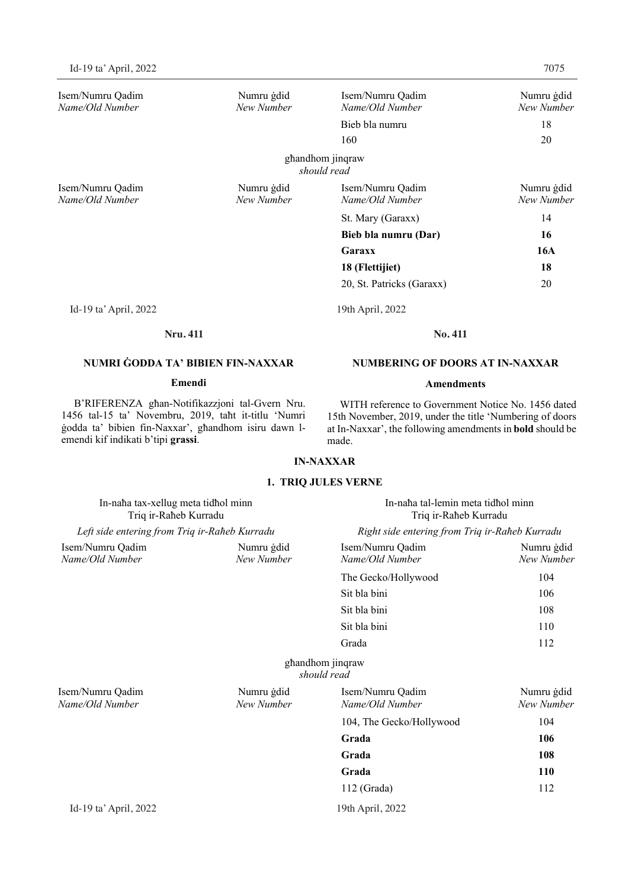Isem/Numru Qadim Numru ġdid Isem/Numru Qadim Numru ġdid *Name/Old Number New Number Name/Old Number New Number* Bieb bla numru 18 160 20 għandhom jinqraw *should read*  Isem/Numru Qadim Numru ġdid Isem/Numru Qadim Numru ġdid *Name/Old Number New Number Name/Old Number New Number* St. Mary (Garaxx) 14 **Bieb bla numru (Dar) 16 Garaxx 16A 18 (Flettijiet) 18**  20, St. Patricks (Garaxx) 20 Id-19 ta' April, 2022 19th April, 2022 Id-19 ta' April, 2022 19th April, 2022

### **Nru. 411 No. 411**

# **NUMRI ĠODDA TA' BIBIEN FIN-NAXXAR**

# **Emendi**

B'RIFERENZA għan-Notifikazzjoni tal-Gvern Nru. 1456 tal-15 ta' Novembru, 2019, taħt it-titlu 'Numri ġodda ta' bibien fin-Naxxar', għandhom isiru dawn lemendi kif indikati b'tipi **grassi**.

# **NUMBERING OF DOORS AT IN-NAXXAR**

# **Amendments**

WITH reference to Government Notice No. 1456 dated 15th November, 2019, under the title 'Numbering of doors at In-Naxxar', the following amendments in **bold** should be made.

# **IN-NAXXAR**

# **1. TRIQ JULES VERNE**

| In-naha tax-xellug meta tidhol minn<br>Triq ir-Raheb Kurradu<br>Left side entering from Triq ir-Raheb Kurradu |                                                                 | In-naħa tal-lemin meta tidħol minn<br>Triq ir-Raheb Kurradu |                          |
|---------------------------------------------------------------------------------------------------------------|-----------------------------------------------------------------|-------------------------------------------------------------|--------------------------|
|                                                                                                               |                                                                 | Right side entering from Triq ir-Raheb Kurradu              |                          |
| Isem/Numru Qadim<br>Name/Old Number                                                                           | Isem/Numru Qadim<br>Numru gdid<br>New Number<br>Name/Old Number |                                                             | Numru gdid<br>New Number |
|                                                                                                               |                                                                 | The Gecko/Hollywood                                         | 104                      |
|                                                                                                               |                                                                 | Sit bla bini                                                | 106                      |
|                                                                                                               |                                                                 | Sit bla bini                                                | 108                      |
|                                                                                                               |                                                                 | Sit bla bini                                                | 110                      |
|                                                                                                               |                                                                 | Grada                                                       | 112                      |
|                                                                                                               |                                                                 | ghandhom jinqraw<br>should read                             |                          |
| Isem/Numru Qadim<br>Name/Old Number                                                                           | Numru gdid<br>New Number                                        | Isem/Numru Qadim<br>Name/Old Number                         | Numru gdid<br>New Number |
|                                                                                                               |                                                                 | 104, The Gecko/Hollywood                                    | 104                      |
|                                                                                                               |                                                                 | Grada                                                       | 106                      |
|                                                                                                               |                                                                 | Grada                                                       | 108                      |
|                                                                                                               |                                                                 | Grada                                                       | <b>110</b>               |
|                                                                                                               |                                                                 | $112$ (Grada)                                               | 112                      |
| Id-19 ta' April, 2022                                                                                         |                                                                 | 19th April, 2022                                            |                          |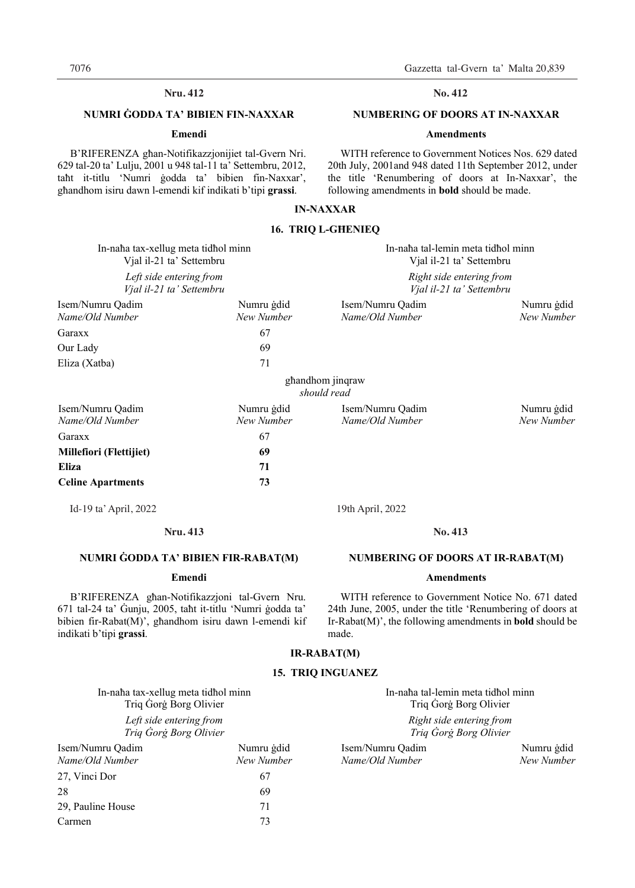# **Nru.** 412 **No.** 412

# **NUMRI ĠODDA TA' BIBIEN FIN-NAXXAR**

# **Emendi**

B'RIFERENZA għan-Notifikazzjonijiet tal-Gvern Nri. 629 tal-20 ta' Lulju, 2001 u 948 tal-11 ta' Settembru, 2012, taħt it-titlu 'Numri ġodda ta' bibien fin-Naxxar', għandhom isiru dawn l-emendi kif indikati b'tipi **grassi**.

#### No. 412

# **NUMBERING OF DOORS AT IN-NAXXAR**

#### **Amendments**

WITH reference to Government Notices Nos. 629 dated 20th July, 2001and 948 dated 11th September 2012, under the title 'Renumbering of doors at In-Naxxar', the following amendments in **bold** should be made.

# **IN-NAXXAR**

# **16. TRIQ L-GĦENIEQ**

| In-naha tax-xellug meta tidhol minn<br>Vjal il-21 ta' Settembru<br>Left side entering from<br>Vjal il-21 ta' Settembru |                          | In-naha tal-lemin meta tidhol minn<br>Vjal il-21 ta' Settembru<br>Right side entering from<br>Vjal il-21 ta' Settembru |                          |
|------------------------------------------------------------------------------------------------------------------------|--------------------------|------------------------------------------------------------------------------------------------------------------------|--------------------------|
|                                                                                                                        |                          |                                                                                                                        |                          |
| Garaxx                                                                                                                 | 67                       |                                                                                                                        |                          |
| Our Lady                                                                                                               | 69                       |                                                                                                                        |                          |
| Eliza (Xatba)                                                                                                          | 71                       |                                                                                                                        |                          |
|                                                                                                                        |                          | ghandhom jinqraw<br>should read                                                                                        |                          |
| Isem/Numru Qadim<br>Name/Old Number                                                                                    | Numru gdid<br>New Number | Isem/Numru Qadim<br>Name/Old Number                                                                                    | Numru gdid<br>New Number |
| Garaxx                                                                                                                 | 67                       |                                                                                                                        |                          |
| Millefiori (Flettijiet)                                                                                                | 69                       |                                                                                                                        |                          |
| <b>Eliza</b>                                                                                                           | 71                       |                                                                                                                        |                          |
| <b>Celine Apartments</b>                                                                                               | 73                       |                                                                                                                        |                          |
| Id-19 ta' April, 2022                                                                                                  |                          | 19th April, 2022                                                                                                       |                          |

# **Nru. Nru. 413 No. 413**

# **NUMRI ĠODDA TA' BIBIEN FIR-RABAT(M)**

# **Emendi**

B'RIFERENZA għan-Notifikazzjoni tal-Gvern Nru. 671 tal-24 ta' Ġunju, 2005, taħt it-titlu 'Numri ġodda ta' bibien fir-Rabat(M)', għandhom isiru dawn l-emendi kif indikati b'tipi **grassi**.

#### No. 413

# **NUMBERING OF DOORS AT IR-RABAT(M)**

### **Amendments**

WITH reference to Government Notice No. 671 dated 24th June, 2005, under the title 'Renumbering of doors at Ir-Rabat(M)', the following amendments in **bold** should be made.

# **IR-RABAT(M)**

# **15. TRIQ INGUANEZ**

*Right side entering from Triq Ġorġ Borg Olivier* 

Isem/Numru Qadim Numru ġdid *Name/Old Number New Number Name/Old Number New Number*

In-naħa tax-xellug meta tidħol minn In-naħa tal-lemin meta tidħol minn Triq Ġorġ Borg Olivier Triq Ġorġ Borg Olivier

*Left side entering from Triq Ġorġ Borg Olivier* 

| Isem/Numru Oadim  | Numru gdid |
|-------------------|------------|
| Name/Old Number   | New Number |
| 27, Vinci Dor     | 67         |
| 28                | 69         |
| 29, Pauline House | 71         |
| Carmen            | 73         |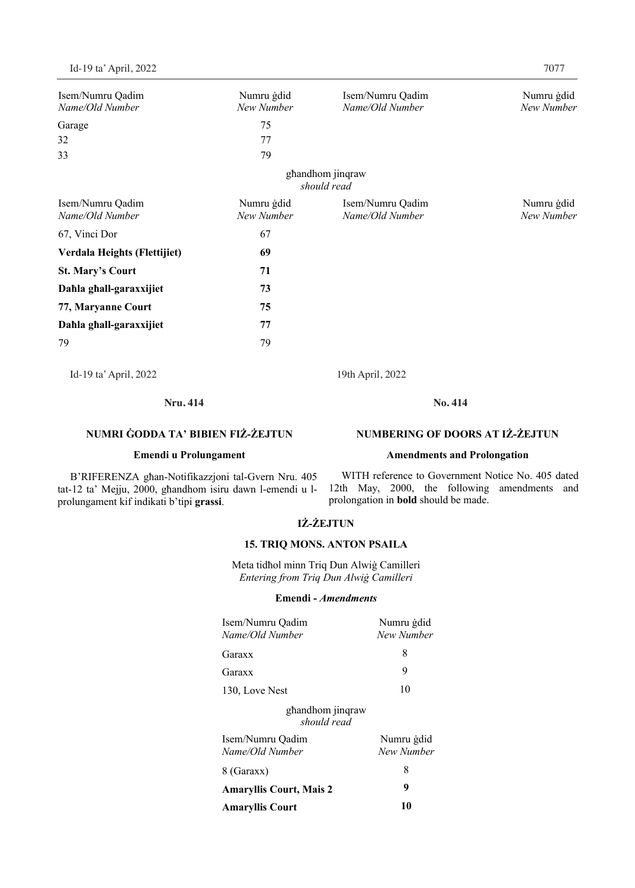| Isem/Numru Qadim             | Numru gdid | Isem/Numru Qadim | Numru gdid |
|------------------------------|------------|------------------|------------|
| Name/Old Number              | New Number | Name/Old Number  | New Number |
| Garage                       | 75         |                  |            |
| 32                           | 77         |                  |            |
| 33                           | 79         |                  |            |
|                              |            | ghandhom jinqraw |            |
|                              |            | should read      |            |
| Isem/Numru Qadim             | Numru gdid | Isem/Numru Qadim | Numru gdid |
| Name/Old Number              | New Number | Name/Old Number  | New Number |
| 67, Vinci Dor                | 67         |                  |            |
| Verdala Heights (Flettijiet) | 69         |                  |            |
| <b>St. Mary's Court</b>      | 71         |                  |            |
| Dahla ghall-garaxxijiet      | 73         |                  |            |
| 77, Maryanne Court           | 75         |                  |            |
| Dahla ghall-garaxxijiet      | 77         |                  |            |
| 79                           | 79         |                  |            |
| Id-19 ta' April, 2022        |            | 19th April, 2022 |            |

**Nru. 414 No. 414**

# **NUMRI ĠODDA TA' BIBIEN FIŻ-ŻEJTUN**

# **Emendi u Prolungament**

B'RIFERENZA għan-Notifikazzjoni tal-Gvern Nru. 405 tat-12 ta' Mejju, 2000, għandhom isiru dawn l-emendi u lprolungament kif indikati b'tipi **grassi**.

WITH reference to Government Notice No. 405 dated 12th May, 2000, the following amendments and prolongation in **bold** should be made.

**NUMBERING OF DOORS AT IŻ-ŻEJTUN** 

**Amendments and Prolongation** 

# **IŻ-ŻEJTUN**

# **15. TRIQ MONS. ANTON PSAILA**

Meta tidħol minn Triq Dun Alwiġ Camilleri *Entering from Triq Dun Alwiġ Camilleri*

# **Emendi -** *Amendments*

| Isem/Numru Qadim<br>Name/Old Number | Numru gdid<br>New Number |
|-------------------------------------|--------------------------|
| Garaxx                              | 8                        |
| Garaxx                              | 9                        |
| 130, Love Nest                      | 10                       |
| ghandhom jinqraw<br>should read     |                          |
| Isem/Numru Oadim<br>Name/Old Number | Numru ģdid<br>New Number |
| 8 (Garaxx)                          | 8                        |
| <b>Amaryllis Court, Mais 2</b>      | 9                        |
| <b>Amaryllis Court</b>              | 10                       |